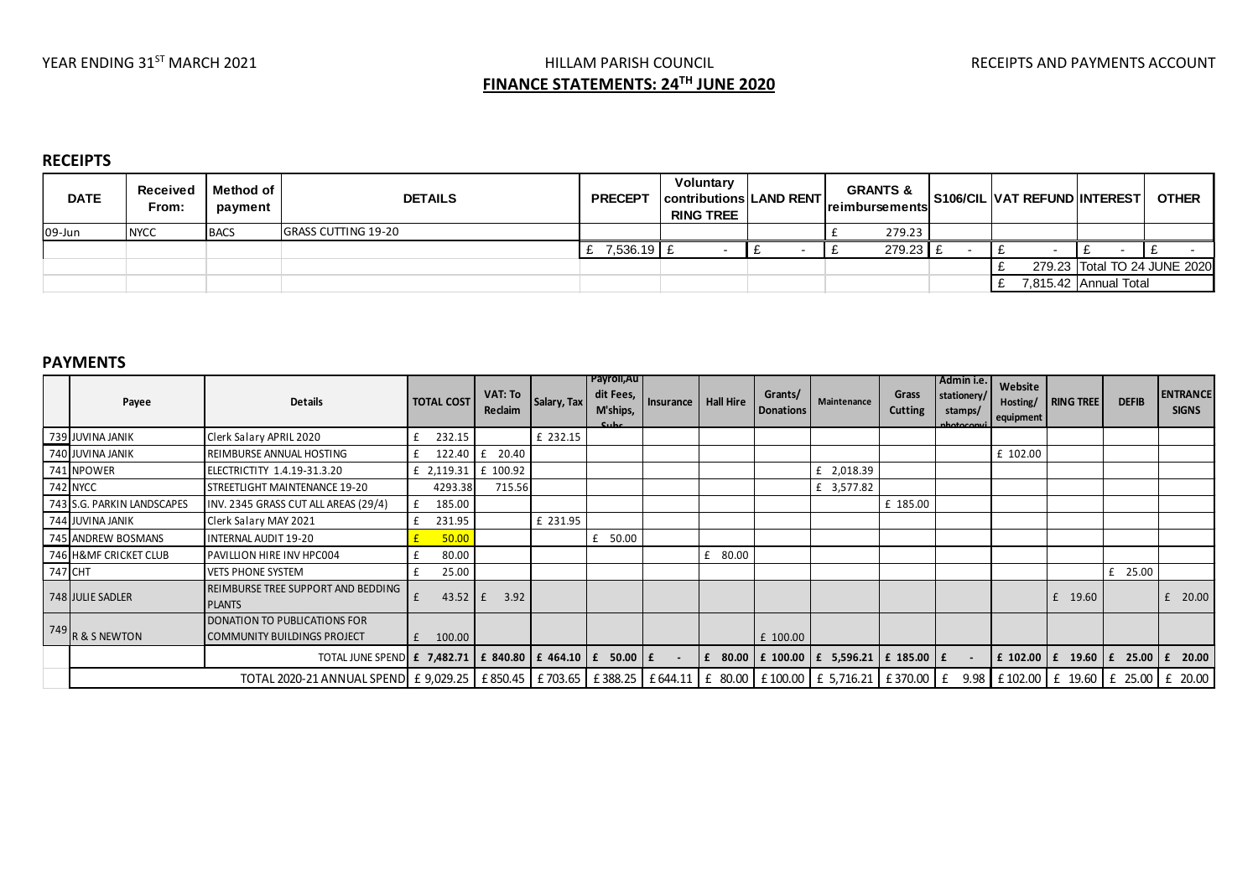# YEAR ENDING 31<sup>ST</sup> MARCH 2021 **Example 2021** HILLAM PARISH COUNCIL **The COUNCIL RECEIPTS AND PAYMENTS ACCOUNT FINANCE STATEMENTS: 24TH JUNE 2020**

## **RECEIPTS**

| <b>DATE</b> | Received<br>From: | Method of<br>payment | <b>DETAILS</b>             | <b>PRECEPT</b> | Voluntary<br><b>Contributions LAND RENT</b><br><b>RING TREE</b> |  | <b>GRANTS &amp;</b><br><b>Ireimbursements</b> |  | S106/CIL VAT REFUND INTEREST I | <b>OTHER</b>                 |
|-------------|-------------------|----------------------|----------------------------|----------------|-----------------------------------------------------------------|--|-----------------------------------------------|--|--------------------------------|------------------------------|
| 09-Jun      | <b>NYCC</b>       | <b>BACS</b>          | <b>GRASS CUTTING 19-20</b> |                |                                                                 |  | 279.23                                        |  |                                |                              |
|             |                   |                      |                            | £ 7,536.19 E   |                                                                 |  | 279.23 £                                      |  |                                |                              |
|             |                   |                      |                            |                |                                                                 |  |                                               |  |                                | 279.23 Total TO 24 JUNE 2020 |
|             |                   |                      |                            |                |                                                                 |  |                                               |  | 7,815.42 Annual Total          |                              |

## **PAYMENTS**

|         | Payee                      | <b>Details</b>                                                                                                   | <b>TOTAL COST</b>   | <b>VAT: To</b><br>Reclaim | Salary, Tax | Payroll, Au<br>dit Fees,<br>M'ships,<br>عطيته | Insurance | <b>Hall Hire</b> | Grants/<br><b>Donations</b> | Maintenance                                  | Grass<br><b>Cutting</b> | Admin i.e.<br>stationery/<br>stamps/<br>nhotoconvi | Website<br>Hosting/<br>equipment | <b>RING TREE</b>                      | <b>DEFIB</b> | <b>ENTRANCE</b><br><b>SIGNS</b> |
|---------|----------------------------|------------------------------------------------------------------------------------------------------------------|---------------------|---------------------------|-------------|-----------------------------------------------|-----------|------------------|-----------------------------|----------------------------------------------|-------------------------|----------------------------------------------------|----------------------------------|---------------------------------------|--------------|---------------------------------|
|         | 739 JUVINA JANIK           | Clerk Salary APRIL 2020                                                                                          | 232.15              |                           | £ 232.15    |                                               |           |                  |                             |                                              |                         |                                                    |                                  |                                       |              |                                 |
|         | 740 JUVINA JANIK           | REIMBURSE ANNUAL HOSTING                                                                                         |                     | 20.40                     |             |                                               |           |                  |                             |                                              |                         |                                                    | £ 102.00                         |                                       |              |                                 |
|         | 741 NPOWER                 | ELECTRICTITY 1.4.19-31.3.20                                                                                      | £ 2,119.31 £ 100.92 |                           |             |                                               |           |                  |                             | £ 2,018.39                                   |                         |                                                    |                                  |                                       |              |                                 |
|         | 742 NYCC                   | STREETLIGHT MAINTENANCE 19-20                                                                                    | 4293.38             | 715.56                    |             |                                               |           |                  |                             | £ 3,577.82                                   |                         |                                                    |                                  |                                       |              |                                 |
|         | 743 S.G. PARKIN LANDSCAPES | INV. 2345 GRASS CUT ALL AREAS (29/4)                                                                             | 185.00              |                           |             |                                               |           |                  |                             |                                              | £ 185.00                |                                                    |                                  |                                       |              |                                 |
|         | 744 JUVINA JANIK           | Clerk Salary MAY 2021                                                                                            | 231.95              |                           | £ 231.95    |                                               |           |                  |                             |                                              |                         |                                                    |                                  |                                       |              |                                 |
|         | 745 ANDREW BOSMANS         | INTERNAL AUDIT 19-20                                                                                             | 50.00               |                           |             | £ 50.00                                       |           |                  |                             |                                              |                         |                                                    |                                  |                                       |              |                                 |
|         | 746 H&MF CRICKET CLUB      | PAVILLION HIRE INV HPC004                                                                                        | 80.00               |                           |             |                                               |           | 80.00<br>f       |                             |                                              |                         |                                                    |                                  |                                       |              |                                 |
| 747 CHT |                            | <b>VETS PHONE SYSTEM</b>                                                                                         | 25.00               |                           |             |                                               |           |                  |                             |                                              |                         |                                                    |                                  |                                       | £ 25.00      |                                 |
|         | 748 JULIE SADLER           | REIMBURSE TREE SUPPORT AND BEDDING<br><b>PLANTS</b>                                                              | $43.52 \text{ E}$   | 3.92                      |             |                                               |           |                  |                             |                                              |                         |                                                    |                                  | 19.60<br>$\mathbf{f}$                 |              | 20.00                           |
|         | 749 R & S NEWTON           | DONATION TO PUBLICATIONS FOR<br><b>COMMUNITY BUILDINGS PROJECT</b>                                               | 100.00              |                           |             |                                               |           |                  | £ 100.00                    |                                              |                         |                                                    |                                  |                                       |              |                                 |
|         |                            | TOTAL JUNE SPEND E 7,482.71 E 840.80 E 464.10 E 50.00 E                                                          |                     |                           |             |                                               | $\sim$    | Ι£               |                             | 80.00   £ 100.00   £ 5,596.21   £ 185.00   £ |                         | $\sim$                                             |                                  | £ 102.00   £ 19.60                    | £ 25.00      | 20.00                           |
|         |                            | TOTAL 2020-21 ANNUAL SPEND £ 9,029.25 £ 850.45 £ 703.65 £ 388.25 £ 644.11 £ 80.00 £ 100.00 £ 5,716.21 £ 370.00 £ |                     |                           |             |                                               |           |                  |                             |                                              |                         |                                                    |                                  | 9.98 £ 102.00 £ 19.60 £ 25.00 £ 20.00 |              |                                 |